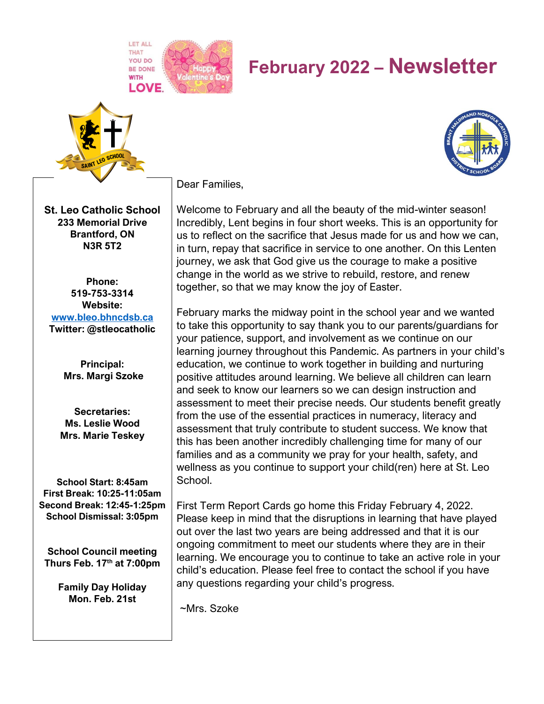**LET ALL THAT LOVE** 

# **February 2022 – Newsletter**



**St. Leo Catholic School 233 Memorial Drive Brantford, ON N3R 5T2**

**Phone: 519-753-3314 Website: [www.bleo.bhncdsb.ca](http://www.bleo.bhncdsb.ca/) Twitter: @stleocatholic**

> **Principal: Mrs. Margi Szoke**

**Secretaries: Ms. Leslie Wood Mrs. Marie Teskey**

**School Start: 8:45am First Break: 10:25-11:05am Second Break: 12:45-1:25pm School Dismissal: 3:05pm**

**School Council meeting Thurs Feb. 17th at 7:00pm**

> **Family Day Holiday Mon. Feb. 21st**

Dear Families,

Welcome to February and all the beauty of the mid-winter season! Incredibly, Lent begins in four short weeks. This is an opportunity for us to reflect on the sacrifice that Jesus made for us and how we can, in turn, repay that sacrifice in service to one another. On this Lenten journey, we ask that God give us the courage to make a positive change in the world as we strive to rebuild, restore, and renew together, so that we may know the joy of Easter.

February marks the midway point in the school year and we wanted to take this opportunity to say thank you to our parents/guardians for your patience, support, and involvement as we continue on our learning journey throughout this Pandemic. As partners in your child's education, we continue to work together in building and nurturing positive attitudes around learning. We believe all children can learn and seek to know our learners so we can design instruction and assessment to meet their precise needs. Our students benefit greatly from the use of the essential practices in numeracy, literacy and assessment that truly contribute to student success. We know that this has been another incredibly challenging time for many of our families and as a community we pray for your health, safety, and wellness as you continue to support your child(ren) here at St. Leo School.

First Term Report Cards go home this Friday February 4, 2022. Please keep in mind that the disruptions in learning that have played out over the last two years are being addressed and that it is our ongoing commitment to meet our students where they are in their learning. We encourage you to continue to take an active role in your child's education. Please feel free to contact the school if you have any questions regarding your child's progress.

~Mrs. Szoke